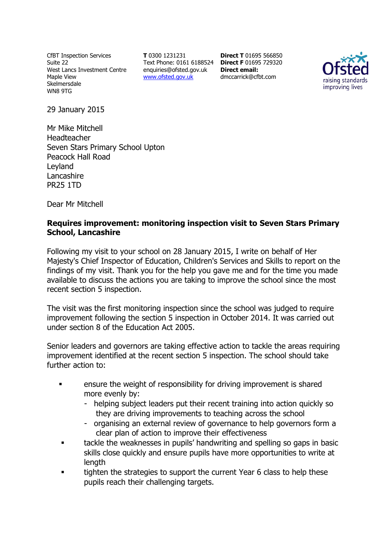CfBT Inspection Services Suite 22 West Lancs Investment Centre Maple View Skelmersdale WN8 9TG

**T** 0300 1231231 Text Phone: 0161 6188524 **Direct F** 01695 729320 enquiries@ofsted.gov.uk www.ofsted.gov.uk

**Direct T** 01695 566850 **Direct email:**  dmccarrick@cfbt.com



29 January 2015

Mr Mike Mitchell Headteacher Seven Stars Primary School Upton Peacock Hall Road Leyland Lancashire PR25 1TD

Dear Mr Mitchell

## **Requires improvement: monitoring inspection visit to Seven Stars Primary School, Lancashire**

Following my visit to your school on 28 January 2015, I write on behalf of Her Majesty's Chief Inspector of Education, Children's Services and Skills to report on the findings of my visit. Thank you for the help you gave me and for the time you made available to discuss the actions you are taking to improve the school since the most recent section 5 inspection.

The visit was the first monitoring inspection since the school was judged to require improvement following the section 5 inspection in October 2014. It was carried out under section 8 of the Education Act 2005.

Senior leaders and governors are taking effective action to tackle the areas requiring improvement identified at the recent section 5 inspection. The school should take further action to:

- ensure the weight of responsibility for driving improvement is shared more evenly by:
	- helping subject leaders put their recent training into action quickly so they are driving improvements to teaching across the school
	- organising an external review of governance to help governors form a clear plan of action to improve their effectiveness
- tackle the weaknesses in pupils' handwriting and spelling so gaps in basic skills close quickly and ensure pupils have more opportunities to write at length
- **tighten the strategies to support the current Year 6 class to help these** pupils reach their challenging targets.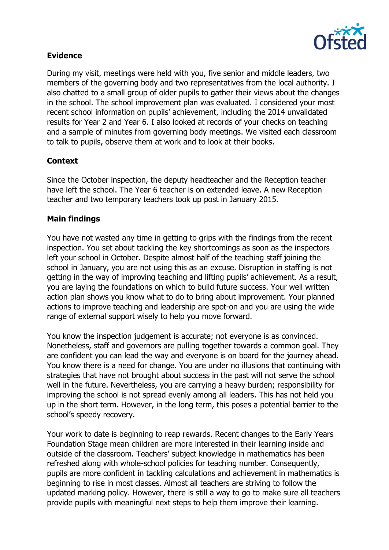

## **Evidence**

During my visit, meetings were held with you, five senior and middle leaders, two members of the governing body and two representatives from the local authority. I also chatted to a small group of older pupils to gather their views about the changes in the school. The school improvement plan was evaluated. I considered your most recent school information on pupils' achievement, including the 2014 unvalidated results for Year 2 and Year 6. I also looked at records of your checks on teaching and a sample of minutes from governing body meetings. We visited each classroom to talk to pupils, observe them at work and to look at their books.

# **Context**

Since the October inspection, the deputy headteacher and the Reception teacher have left the school. The Year 6 teacher is on extended leave. A new Reception teacher and two temporary teachers took up post in January 2015.

## **Main findings**

You have not wasted any time in getting to grips with the findings from the recent inspection. You set about tackling the key shortcomings as soon as the inspectors left your school in October. Despite almost half of the teaching staff joining the school in January, you are not using this as an excuse. Disruption in staffing is not getting in the way of improving teaching and lifting pupils' achievement. As a result, you are laying the foundations on which to build future success. Your well written action plan shows you know what to do to bring about improvement. Your planned actions to improve teaching and leadership are spot-on and you are using the wide range of external support wisely to help you move forward.

You know the inspection judgement is accurate; not everyone is as convinced. Nonetheless, staff and governors are pulling together towards a common goal. They are confident you can lead the way and everyone is on board for the journey ahead. You know there is a need for change. You are under no illusions that continuing with strategies that have not brought about success in the past will not serve the school well in the future. Nevertheless, you are carrying a heavy burden; responsibility for improving the school is not spread evenly among all leaders. This has not held you up in the short term. However, in the long term, this poses a potential barrier to the school's speedy recovery.

Your work to date is beginning to reap rewards. Recent changes to the Early Years Foundation Stage mean children are more interested in their learning inside and outside of the classroom. Teachers' subject knowledge in mathematics has been refreshed along with whole-school policies for teaching number. Consequently, pupils are more confident in tackling calculations and achievement in mathematics is beginning to rise in most classes. Almost all teachers are striving to follow the updated marking policy. However, there is still a way to go to make sure all teachers provide pupils with meaningful next steps to help them improve their learning.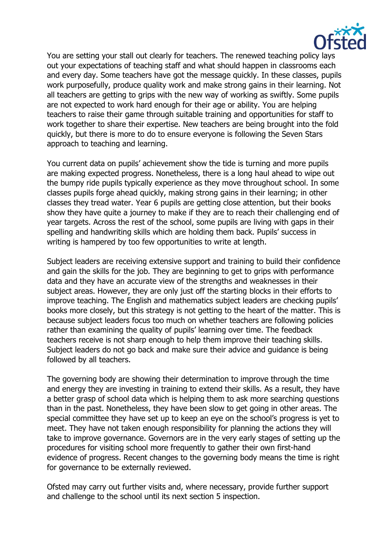

You are setting your stall out clearly for teachers. The renewed teaching policy lays out your expectations of teaching staff and what should happen in classrooms each and every day. Some teachers have got the message quickly. In these classes, pupils work purposefully, produce quality work and make strong gains in their learning. Not all teachers are getting to grips with the new way of working as swiftly. Some pupils are not expected to work hard enough for their age or ability. You are helping teachers to raise their game through suitable training and opportunities for staff to work together to share their expertise. New teachers are being brought into the fold quickly, but there is more to do to ensure everyone is following the Seven Stars approach to teaching and learning.

You current data on pupils' achievement show the tide is turning and more pupils are making expected progress. Nonetheless, there is a long haul ahead to wipe out the bumpy ride pupils typically experience as they move throughout school. In some classes pupils forge ahead quickly, making strong gains in their learning; in other classes they tread water. Year 6 pupils are getting close attention, but their books show they have quite a journey to make if they are to reach their challenging end of year targets. Across the rest of the school, some pupils are living with gaps in their spelling and handwriting skills which are holding them back. Pupils' success in writing is hampered by too few opportunities to write at length.

Subject leaders are receiving extensive support and training to build their confidence and gain the skills for the job. They are beginning to get to grips with performance data and they have an accurate view of the strengths and weaknesses in their subject areas. However, they are only just off the starting blocks in their efforts to improve teaching. The English and mathematics subject leaders are checking pupils' books more closely, but this strategy is not getting to the heart of the matter. This is because subject leaders focus too much on whether teachers are following policies rather than examining the quality of pupils' learning over time. The feedback teachers receive is not sharp enough to help them improve their teaching skills. Subject leaders do not go back and make sure their advice and guidance is being followed by all teachers.

The governing body are showing their determination to improve through the time and energy they are investing in training to extend their skills. As a result, they have a better grasp of school data which is helping them to ask more searching questions than in the past. Nonetheless, they have been slow to get going in other areas. The special committee they have set up to keep an eye on the school's progress is yet to meet. They have not taken enough responsibility for planning the actions they will take to improve governance. Governors are in the very early stages of setting up the procedures for visiting school more frequently to gather their own first-hand evidence of progress. Recent changes to the governing body means the time is right for governance to be externally reviewed.

Ofsted may carry out further visits and, where necessary, provide further support and challenge to the school until its next section 5 inspection.